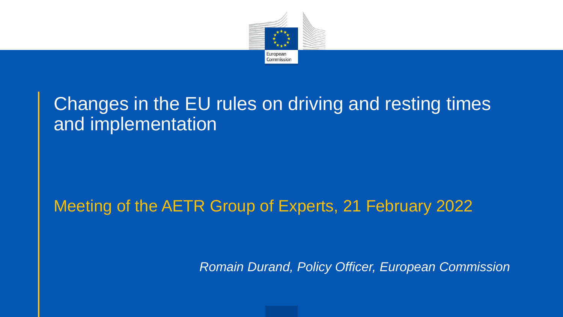

#### Changes in the EU rules on driving and resting times and implementation

#### Meeting of the AETR Group of Experts, 21 February 2022

*Romain Durand, Policy Officer, European Commission*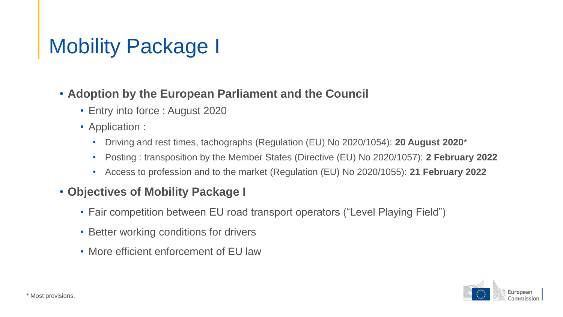### Mobility Package I

#### • **Adoption by the European Parliament and the Council**

- Entry into force : August 2020
- Application :
	- Driving and rest times, tachographs (Regulation (EU) No 2020/1054): **20 August 2020**\*
	- Posting : transposition by the Member States (Directive (EU) No 2020/1057): **2 February 2022**
	- Access to profession and to the market (Regulation (EU) No 2020/1055): **21 February 2022**

#### • **Objectives of Mobility Package I**

- Fair competition between EU road transport operators ("Level Playing Field")
- Better working conditions for drivers
- More efficient enforcement of EU law

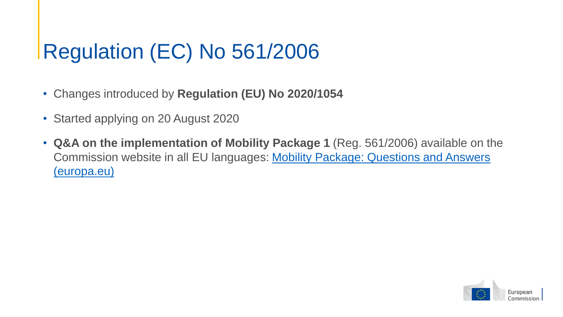## Regulation (EC) No 561/2006

- Changes introduced by **Regulation (EU) No 2020/1054**
- Started applying on 20 August 2020
- **Q&A on the implementation of Mobility Package 1** (Reg. 561/2006) available on the [Commission website in all EU languages: Mobility Package: Questions and Answers](https://transport.ec.europa.eu/transport-modes/road/mobility-package-questions-and-answers_en) (europa.eu)

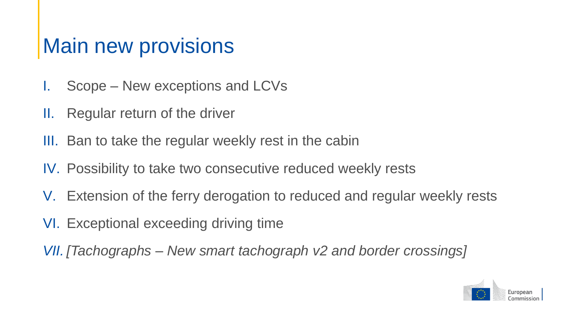#### Main new provisions

- I. Scope New exceptions and LCVs
- II. Regular return of the driver
- III. Ban to take the regular weekly rest in the cabin
- IV. Possibility to take two consecutive reduced weekly rests
- V. Extension of the ferry derogation to reduced and regular weekly rests
- VI. Exceptional exceeding driving time

*VII. [Tachographs – New smart tachograph v2 and border crossings]*

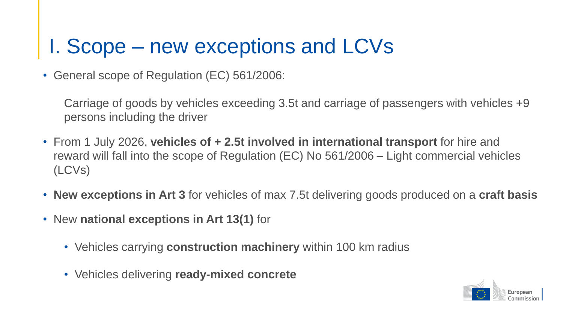#### I. Scope – new exceptions and LCVs

• General scope of Regulation (EC) 561/2006:

Carriage of goods by vehicles exceeding 3.5t and carriage of passengers with vehicles +9 persons including the driver

- From 1 July 2026, **vehicles of + 2.5t involved in international transport** for hire and reward will fall into the scope of Regulation (EC) No 561/2006 – Light commercial vehicles (LCVs)
- **New exceptions in Art 3** for vehicles of max 7.5t delivering goods produced on a **craft basis**
- New **national exceptions in Art 13(1)** for
	- Vehicles carrying **construction machinery** within 100 km radius
	- Vehicles delivering **ready-mixed concrete**

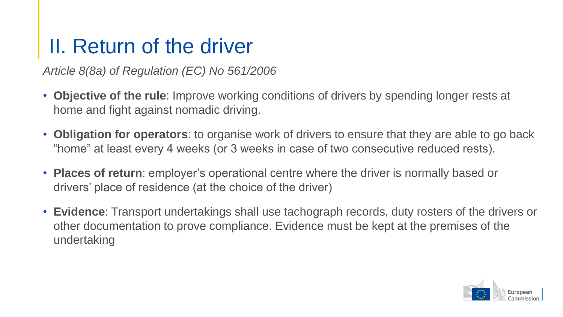#### II. Return of the driver

*Article 8(8a) of Regulation (EC) No 561/2006*

- **Objective of the rule**: Improve working conditions of drivers by spending longer rests at home and fight against nomadic driving.
- **Obligation for operators**: to organise work of drivers to ensure that they are able to go back "home" at least every 4 weeks (or 3 weeks in case of two consecutive reduced rests).
- **Places of return**: employer's operational centre where the driver is normally based or drivers' place of residence (at the choice of the driver)
- **Evidence**: Transport undertakings shall use tachograph records, duty rosters of the drivers or other documentation to prove compliance. Evidence must be kept at the premises of the undertaking

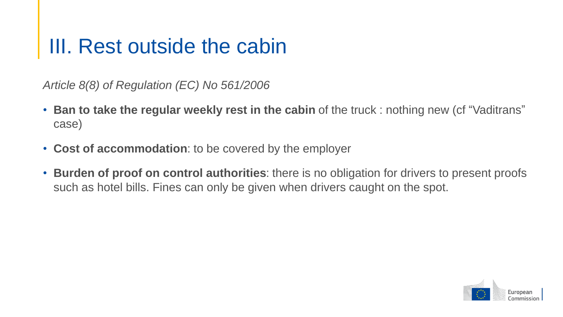#### III. Rest outside the cabin

*Article 8(8) of Regulation (EC) No 561/2006*

- **Ban to take the regular weekly rest in the cabin** of the truck : nothing new (cf "Vaditrans" case)
- **Cost of accommodation**: to be covered by the employer
- **Burden of proof on control authorities**: there is no obligation for drivers to present proofs such as hotel bills. Fines can only be given when drivers caught on the spot.

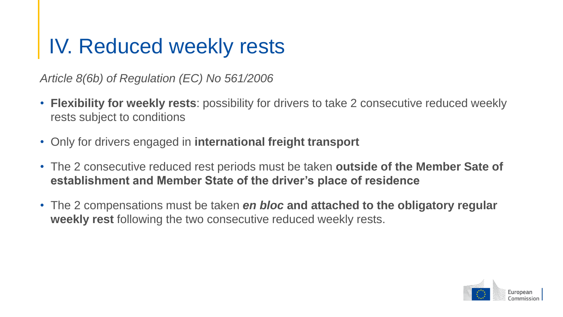#### IV. Reduced weekly rests

*Article 8(6b) of Regulation (EC) No 561/2006*

- **Flexibility for weekly rests**: possibility for drivers to take 2 consecutive reduced weekly rests subject to conditions
- Only for drivers engaged in **international freight transport**
- The 2 consecutive reduced rest periods must be taken **outside of the Member Sate of establishment and Member State of the driver's place of residence**
- The 2 compensations must be taken *en bloc* **and attached to the obligatory regular weekly rest** following the two consecutive reduced weekly rests.

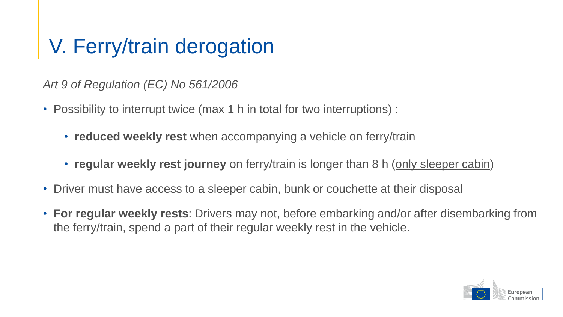### V. Ferry/train derogation

*Art 9 of Regulation (EC) No 561/2006*

- Possibility to interrupt twice (max 1 h in total for two interruptions) :
	- **reduced weekly rest** when accompanying a vehicle on ferry/train
	- **regular weekly rest journey** on ferry/train is longer than 8 h (only sleeper cabin)
- Driver must have access to a sleeper cabin, bunk or couchette at their disposal
- **For regular weekly rests**: Drivers may not, before embarking and/or after disembarking from the ferry/train, spend a part of their regular weekly rest in the vehicle.

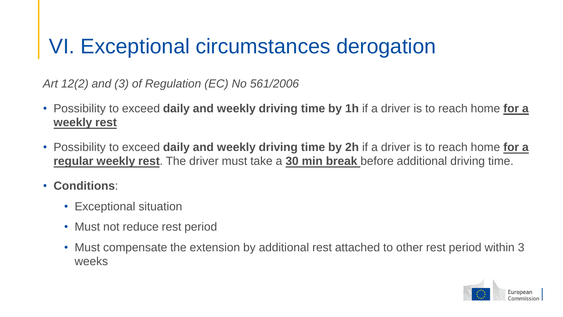### VI. Exceptional circumstances derogation

*Art 12(2) and (3) of Regulation (EC) No 561/2006*

- Possibility to exceed **daily and weekly driving time by 1h** if a driver is to reach home **for a weekly rest**
- Possibility to exceed **daily and weekly driving time by 2h** if a driver is to reach home **for a regular weekly rest**. The driver must take a **30 min break** before additional driving time.
- **Conditions**:
	- Exceptional situation
	- Must not reduce rest period
	- Must compensate the extension by additional rest attached to other rest period within 3 weeks

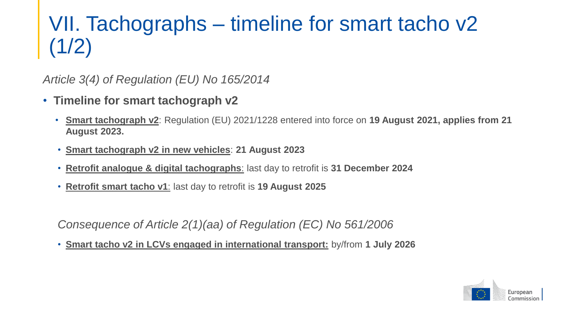## VII. Tachographs – timeline for smart tacho v2 (1/2)

*Article 3(4) of Regulation (EU) No 165/2014* 

- **Timeline for smart tachograph v2**
	- **Smart tachograph v2**: Regulation (EU) 2021/1228 entered into force on **19 August 2021, applies from 21 August 2023.**
	- **Smart tachograph v2 in new vehicles**: **21 August 2023**
	- **Retrofit analogue & digital tachographs**: last day to retrofit is **31 December 2024**
	- **Retrofit smart tacho v1**: last day to retrofit is **19 August 2025**

*Consequence of Article 2(1)(aa) of Regulation (EC) No 561/2006*

• **Smart tacho v2 in LCVs engaged in international transport:** by/from **1 July 2026**

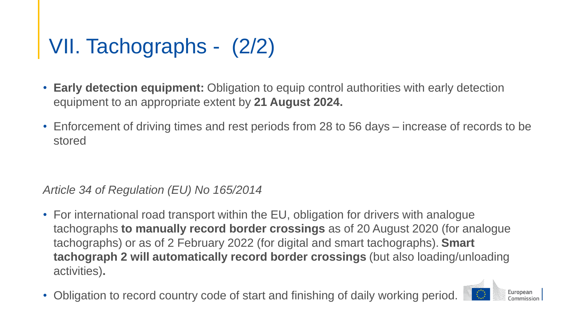# VII. Tachographs - (2/2)

- **Early detection equipment:** Obligation to equip control authorities with early detection equipment to an appropriate extent by **21 August 2024.**
- Enforcement of driving times and rest periods from 28 to 56 days increase of records to be stored

#### *Article 34 of Regulation (EU) No 165/2014*

• For international road transport within the EU, obligation for drivers with analogue tachographs **to manually record border crossings** as of 20 August 2020 (for analogue tachographs) or as of 2 February 2022 (for digital and smart tachographs). **Smart tachograph 2 will automatically record border crossings** (but also loading/unloading activities)**.**

European

• Obligation to record country code of start and finishing of daily working period.